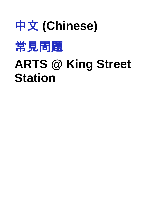



# **ARTS @ King Street Station**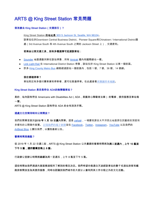# ARTS @ King Street Station 常見問題

# 我怎麼去 King Street Station (交通指引) ?

King Street Station 的地址是 303 S [Jackson St, Seattle, WA 98104](https://goo.gl/maps/CkDQ4NWVBtT2)。

該車站位於Downtown Central Business District、Pioneer Square和Chinatown / International District匯 處(3rd Avenue South 和 4th Avenue South 之間的 Jackson Street 上),交通便利。

#### 若乘坐公眾交通工具,則有多種選擇可抵達該車站:

- [Sounder](https://www.soundtransit.org/sounder) 地區通勤列車在該站停靠,所有 [Amtrak](https://www.amtrak.com/) 國內和國際線也一樣。
- [Link](https://www.soundtransit.org/Schedules/Link-light-rail) Light Rail 在 International District Station 停靠,該站位於 King Street Station 以東一個街區。
- 許多 [King County Metro Bus](https://kingcounty.gov/depts/transportation/metro/schedules-maps.aspx) 線路經過該站一個街區內,包括 1 號、7 號、36 號、14 號線。

# 我在哪裡停車?

車站附近有多個付費車庫和停車場,還可在路邊停車。在此處查看[西雅圖停車地圖](http://web6.seattle.gov/sdot/seattleparkingmap/)。

#### King Street Station 是否是符合 ADA的無障礙車站?

是的,站內設有符合 Americans with Disabilities Act(ADA,美國身心障礙者法案) 的電梯,提供服務至車站每 一層。

ARTS @ King Street Station 設有符合 ADA 的全性別洗手間。

#### 這處文化空間何時向公眾開放?

我們的開幕首展於2019 年 1 月 19 日週六開幕。這是 *[yəhaw̓](https://yehawshow.com/)* ,一場慶祝源自太平洋西北地區原住民藝術的深度和 多樣性的公開徵件展覽。 訂閱[我們的電子新聞](https://www.seattle.gov/arts/about-us#enews)並在 [Facebook](https://www.facebook.com/SeattleArts)、[Twitter](https://twitter.com/SeattleArts)、[Instagram](https://www.instagram.com/seaofficeofarts/)、[YouTube](https://www.youtube.com/user/seattlearts) 以及我們的 [ArtBeat Blog](http://artbeat.seattle.gov/) 上關注我們,以獲取最新公告。

#### 營業時間是幾點?

從 2019 年 1 月 22 日週二起,ARTS @ King Street Station 公共畫廊的營業時間將為**周二至週六,上午 10 點至** 下午 5 點,週四營業至晚上 8 點。

行政辦公室辦公時間將繼續為周一至週五,上午 8 點至下午 5 點。

這些時間由我們透過外展服務過程所了解到的情況決定。我們希望向每週白天途經該車站的數千名過站旅客和鐵 路旅客開放並為其提供服務,同時也認識到我們城市的大部分人會利用其工作日程之外的文化活動。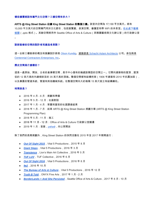## 哪些樓層將設有專門文化空間?三樓空間有多大?

ARTS @ King Street Station 佔據 King Street Station 的整個三樓。該室內空間為 17,130 平方英尺。將有 10,000 平方英尺的空間專門用於文化節目,包括展覽館、表演空間、會議室和帶 WiFi 的休息室。[在此處下載模](http://www.seattle.gov/Documents/Departments/Arts/Downloads/About/161105%20OK%20presentation.pptx) [擬圖](http://www.seattle.gov/Documents/Departments/Arts/Downloads/About/161105%20OK%20presentation.pptx)(.pptx 格式)。其餘空間將用作 Seattle Office of Arts & Culture(西雅圖藝術與文化辦公室)的行政辦公室  $\circ$ 

# 該新裝修的空間的設計者和建造者是誰?

這一全新三樓裝修的概念和展廳設計師是 [Olson Kundig](https://www.olsonkundig.com/)。建築師是 [Schacht Aslani Architects](http://www.saarch.com/) 公司。承包商是 [Centennial Contractors Enterprises, Inc](http://www.cce-inc.com/)。

# 歷史空間是什麼樣的?

這是一處原始、開放、古老的倉庫樣空間,是市中心僅有的幾處該類型的空間之一。它開向建築物的屋頂,屋頂 從約 12 英尺高的外緣傾斜至約 35 英尺高的頂端。整個空間都有結構桁架(1906 年建築和 2010 年抗震加固), 以及暴露的管道系統、管道和其他機械系統。在整個空間內大約每隔 15 英尺就立有結構鋼柱。

#### 時間表是?

- 2016 年 4 月 6 月:規劃和準備
- 2016 年 5 月 12 月:社區對話
- 2017 年 1 月 4 月:草圖和當前的社區調查結果
- 2018 年 1 月 7 月:起草 ARTS @ King Street Station 規劃方案 (ARTS @ King Street Station Programming Plan)
- 2018年5月-11月:施工
- 2018 年 11 月 12 月:Office of Arts & Culture 行政辦公室搬遷
- 2019 年 1 月:首展,*[yəhaw̓](https://yehawshow.com/)* ,向公眾開放

除了我們的長期規劃外,King Street Station 的快閃活動在 2015 年至 2017 年期間進行:

- *[Out Of Sight 2015](http://www.outofsight.space/artist-list/)*, Vital 5 Productions, 2015 年 8 月
- **[Giant Steps](https://www.seattletimes.com/entertainment/visual-arts/shoot-the-moon-exhibit-at-king-street-station-imagines-art-in-space/)**, Vital 5 Productions, 2016 年 3 月
- *[Transience](https://www.lionsmain.org/new-events/2016/11/11/transience)*, Lion's Main Art Collective, 2016年5月
- *[TUF LUV](https://www.tuf-seattle.com/tufluv/)*,TUF Collective,2016 年 6 月
- **[Out Of Sight 2016](http://www.outofsight.space/artistlist/)**, Vital 5 Productions, 2016 年 8 月
- **[9e2](https://vimeo.com/196669696)**, 2016年10月
- *[The Bureau of Arts & Culture](https://www.vital5productions.com/i-am-from-bellevue-1-1)*, Vital 5 Productions, 2016 年 12 月
- *[Truth B Told](http://www.onyxarts.org/events.html)*, ONYX Fine Arts, 2017 年 1 月 2 月
- *[BorderLands + And She Persisted](http://www.seattle.gov/arts/borderlands)*, Seattle Office of Arts & Culture, 2017 年 8 月 10 月